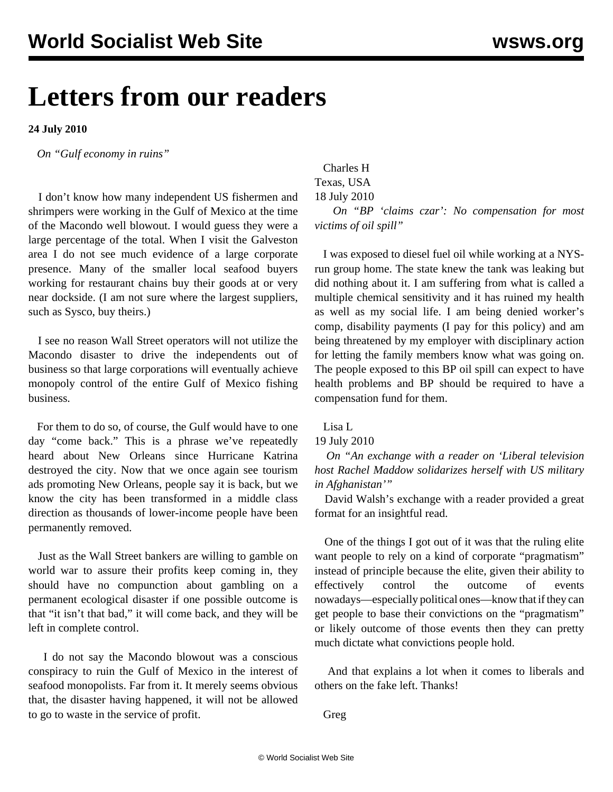## **Letters from our readers**

**24 July 2010**

*On ["Gulf economy in ruins"](/en/articles/2010/jul2010/gulf-j17.shtml)* 

 I don't know how many independent US fishermen and shrimpers were working in the Gulf of Mexico at the time of the Macondo well blowout. I would guess they were a large percentage of the total. When I visit the Galveston area I do not see much evidence of a large corporate presence. Many of the smaller local seafood buyers working for restaurant chains buy their goods at or very near dockside. (I am not sure where the largest suppliers, such as Sysco, buy theirs.)

 I see no reason Wall Street operators will not utilize the Macondo disaster to drive the independents out of business so that large corporations will eventually achieve monopoly control of the entire Gulf of Mexico fishing business.

 For them to do so, of course, the Gulf would have to one day "come back." This is a phrase we've repeatedly heard about New Orleans since Hurricane Katrina destroyed the city. Now that we once again see tourism ads promoting New Orleans, people say it is back, but we know the city has been transformed in a middle class direction as thousands of lower-income people have been permanently removed.

 Just as the Wall Street bankers are willing to gamble on world war to assure their profits keep coming in, they should have no compunction about gambling on a permanent ecological disaster if one possible outcome is that "it isn't that bad," it will come back, and they will be left in complete control.

 I do not say the Macondo blowout was a conscious conspiracy to ruin the Gulf of Mexico in the interest of seafood monopolists. Far from it. It merely seems obvious that, the disaster having happened, it will not be allowed to go to waste in the service of profit.

 Charles H Texas, USA 18 July 2010 *On ["BP 'claims czar': No compensation for most](/en/articles/2010/jul2010/gulf-j02.shtml) [victims of oil spill](/en/articles/2010/jul2010/gulf-j02.shtml)"* 

 I was exposed to diesel fuel oil while working at a NYSrun group home. The state knew the tank was leaking but did nothing about it. I am suffering from what is called a multiple chemical sensitivity and it has ruined my health as well as my social life. I am being denied worker's comp, disability payments (I pay for this policy) and am being threatened by my employer with disciplinary action for letting the family members know what was going on. The people exposed to this BP oil spill can expect to have health problems and BP should be required to have a compensation fund for them.

Lisa L

## 19 July 2010

 *On ["An exchange with a reader on 'Liberal television](/en/articles/2010/jul2010/madd-j20.shtml) [host Rachel Maddow solidarizes herself with US military](/en/articles/2010/jul2010/madd-j20.shtml) [in Afghanistan'"](/en/articles/2010/jul2010/madd-j20.shtml)* 

 David Walsh's exchange with a reader provided a great format for an insightful read.

 One of the things I got out of it was that the ruling elite want people to rely on a kind of corporate "pragmatism" instead of principle because the elite, given their ability to effectively control the outcome of events nowadays—especially political ones—know that if they can get people to base their convictions on the "pragmatism" or likely outcome of those events then they can pretty much dictate what convictions people hold.

 And that explains a lot when it comes to liberals and others on the fake left. Thanks!

Greg